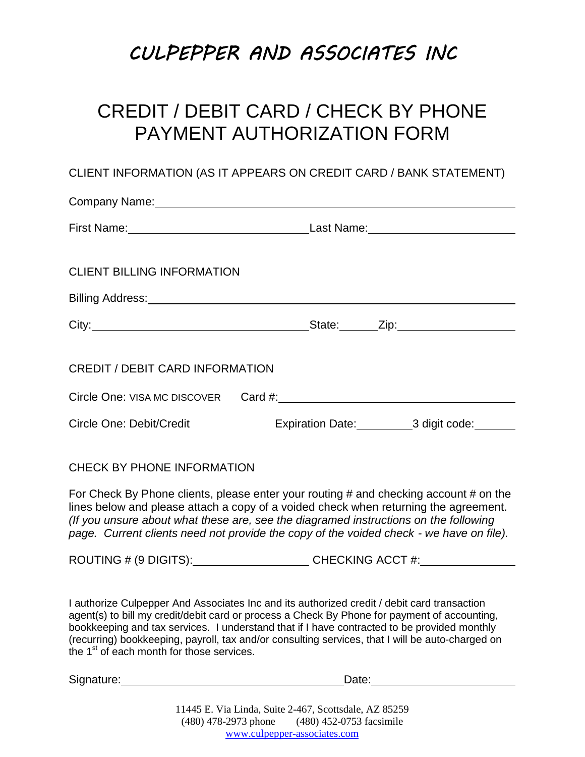# **CULPEPPER AND ASSOCIATES INC**

### CREDIT / DEBIT CARD / CHECK BY PHONE PAYMENT AUTHORIZATION FORM

### CLIENT INFORMATION (AS IT APPEARS ON CREDIT CARD / BANK STATEMENT)

| <b>CLIENT BILLING INFORMATION</b>      |  |                                                                                                                                                                                                   |
|----------------------------------------|--|---------------------------------------------------------------------------------------------------------------------------------------------------------------------------------------------------|
|                                        |  |                                                                                                                                                                                                   |
|                                        |  |                                                                                                                                                                                                   |
| <b>CREDIT / DEBIT CARD INFORMATION</b> |  |                                                                                                                                                                                                   |
|                                        |  |                                                                                                                                                                                                   |
|                                        |  |                                                                                                                                                                                                   |
|                                        |  | Last Name: __________________________<br>Billing Address: <u>contract and a series of the series of the series of the series of the series of the series of</u><br>Expiration Date: 3 digit code: |

#### CHECK BY PHONE INFORMATION

For Check By Phone clients, please enter your routing # and checking account # on the lines below and please attach a copy of a voided check when returning the agreement. *(If you unsure about what these are, see the diagramed instructions on the following page. Current clients need not provide the copy of the voided check - we have on file).*

ROUTING # (9 DIGITS): CHECKING ACCT #:

I authorize Culpepper And Associates Inc and its authorized credit / debit card transaction agent(s) to bill my credit/debit card or process a Check By Phone for payment of accounting, bookkeeping and tax services. I understand that if I have contracted to be provided monthly (recurring) bookkeeping, payroll, tax and/or consulting services, that I will be auto-charged on the  $1<sup>st</sup>$  of each month for those services.

Signature: Date: Date: Date: